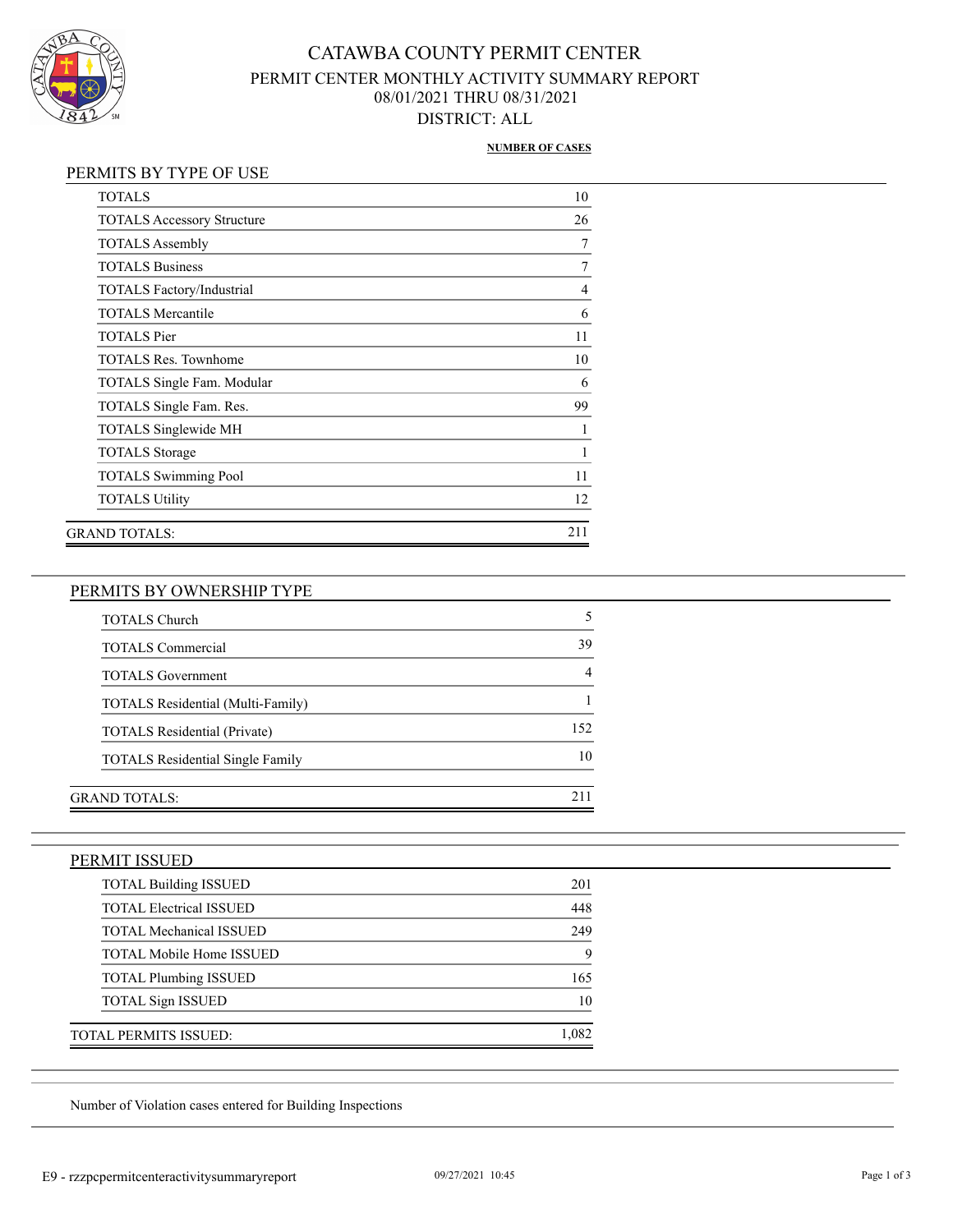

## CATAWBA COUNTY PERMIT CENTER PERMIT CENTER MONTHLY ACTIVITY SUMMARY REPORT 08/01/2021 THRU 08/31/2021 DISTRICT: ALL

#### **NUMBER OF CASES**

#### PERMITS BY TYPE OF USE

| <b>TOTALS</b>                     | 10  |
|-----------------------------------|-----|
| <b>TOTALS Accessory Structure</b> | 26  |
| <b>TOTALS Assembly</b>            | 7   |
| <b>TOTALS Business</b>            | 7   |
| <b>TOTALS Factory/Industrial</b>  | 4   |
| <b>TOTALS Mercantile</b>          | 6   |
| <b>TOTALS</b> Pier                | 11  |
| <b>TOTALS Res. Townhome</b>       | 10  |
| <b>TOTALS Single Fam. Modular</b> | 6   |
| TOTALS Single Fam. Res.           | 99  |
| <b>TOTALS Singlewide MH</b>       |     |
| <b>TOTALS</b> Storage             | 1   |
| <b>TOTALS Swimming Pool</b>       | 11  |
| <b>TOTALS Utility</b>             | 12  |
| GRAND TOTALS:                     | 211 |

### PERMITS BY OWNERSHIP TYPE

| <b>TOTALS Church</b>                    |      |
|-----------------------------------------|------|
| <b>TOTALS Commercial</b>                | 39   |
| <b>TOTALS</b> Government                |      |
| TOTALS Residential (Multi-Family)       |      |
| <b>TOTALS Residential (Private)</b>     | 152. |
| <b>TOTALS</b> Residential Single Family | 10   |
|                                         |      |
| <b>GRAND TOTALS:</b>                    |      |

#### PERMIT ISSUED

| <b>TOTAL Building ISSUED</b>    | 201  |
|---------------------------------|------|
| <b>TOTAL Electrical ISSUED</b>  | 448  |
| <b>TOTAL Mechanical ISSUED</b>  | 249  |
| <b>TOTAL Mobile Home ISSUED</b> |      |
| <b>TOTAL Plumbing ISSUED</b>    | 165  |
| <b>TOTAL Sign ISSUED</b>        | 10   |
| TOTAL PERMITS ISSUED:           | .082 |

Number of Violation cases entered for Building Inspections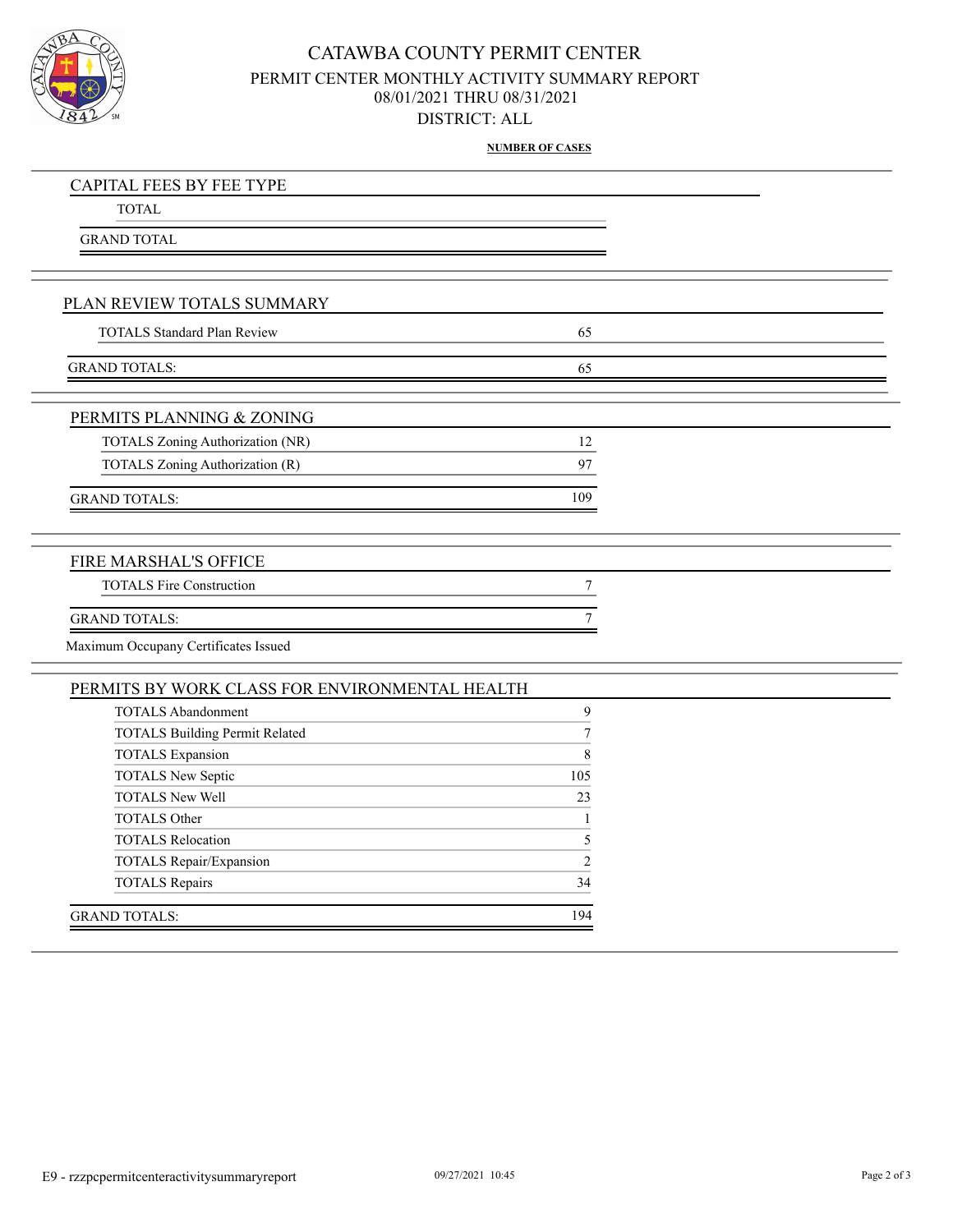

## CATAWBA COUNTY PERMIT CENTER PERMIT CENTER MONTHLY ACTIVITY SUMMARY REPORT 08/01/2021 THRU 08/31/2021 DISTRICT: ALL

**NUMBER OF CASES**

| <b>CAPITAL FEES BY FEE TYPE</b>                |                  |  |
|------------------------------------------------|------------------|--|
| <b>TOTAL</b>                                   |                  |  |
| <b>GRAND TOTAL</b>                             |                  |  |
|                                                |                  |  |
|                                                |                  |  |
| PLAN REVIEW TOTALS SUMMARY                     |                  |  |
| <b>TOTALS Standard Plan Review</b>             | 65               |  |
|                                                |                  |  |
| <b>GRAND TOTALS:</b>                           | 65               |  |
|                                                |                  |  |
| PERMITS PLANNING & ZONING                      |                  |  |
| TOTALS Zoning Authorization (NR)               | 12               |  |
| TOTALS Zoning Authorization (R)                | 97               |  |
| <b>GRAND TOTALS:</b>                           | 109              |  |
|                                                |                  |  |
|                                                |                  |  |
| FIRE MARSHAL'S OFFICE                          |                  |  |
| <b>TOTALS Fire Construction</b>                | 7                |  |
| <b>GRAND TOTALS:</b>                           | 7                |  |
| Maximum Occupany Certificates Issued           |                  |  |
|                                                |                  |  |
| PERMITS BY WORK CLASS FOR ENVIRONMENTAL HEALTH |                  |  |
| <b>TOTALS Abandonment</b>                      | $\mathbf{9}$     |  |
| <b>TOTALS Building Permit Related</b>          | $\boldsymbol{7}$ |  |
| <b>TOTALS</b> Expansion                        | $\,8\,$          |  |
| TOTALS New Septic                              | 105              |  |
| <b>TOTALS New Well</b>                         | 23               |  |
| <b>TOTALS Other</b>                            | $\mathbf{1}$     |  |
| <b>TOTALS Relocation</b>                       | 5                |  |
| TOTALS Repair/Expansion                        | $\overline{2}$   |  |
| <b>TOTALS Repairs</b>                          | 34               |  |
| <b>GRAND TOTALS:</b>                           | 194              |  |
|                                                |                  |  |